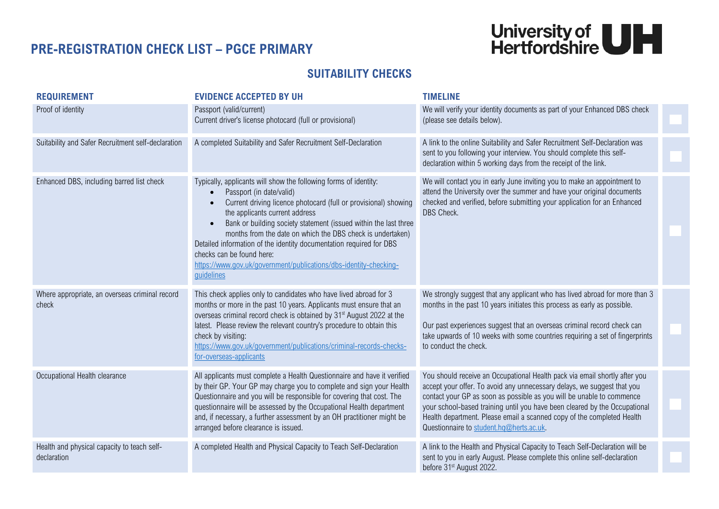## **PRE-REGISTRATION CHECK LIST – PGCE PRIMARY**



## **SUITABILITY CHECKS**

| <b>REQUIREMENT</b>                                         | <b>EVIDENCE ACCEPTED BY UH</b>                                                                                                                                                                                                                                                                                                                                                                                                                                                                                             | <b>TIMELINE</b>                                                                                                                                                                                                                                                                                                                                                                                                                    |  |
|------------------------------------------------------------|----------------------------------------------------------------------------------------------------------------------------------------------------------------------------------------------------------------------------------------------------------------------------------------------------------------------------------------------------------------------------------------------------------------------------------------------------------------------------------------------------------------------------|------------------------------------------------------------------------------------------------------------------------------------------------------------------------------------------------------------------------------------------------------------------------------------------------------------------------------------------------------------------------------------------------------------------------------------|--|
| Proof of identity                                          | Passport (valid/current)<br>Current driver's license photocard (full or provisional)                                                                                                                                                                                                                                                                                                                                                                                                                                       | We will verify your identity documents as part of your Enhanced DBS check<br>(please see details below).                                                                                                                                                                                                                                                                                                                           |  |
| Suitability and Safer Recruitment self-declaration         | A completed Suitability and Safer Recruitment Self-Declaration                                                                                                                                                                                                                                                                                                                                                                                                                                                             | A link to the online Suitability and Safer Recruitment Self-Declaration was<br>sent to you following your interview. You should complete this self-<br>declaration within 5 working days from the receipt of the link.                                                                                                                                                                                                             |  |
| Enhanced DBS, including barred list check                  | Typically, applicants will show the following forms of identity:<br>Passport (in date/valid)<br>Current driving licence photocard (full or provisional) showing<br>the applicants current address<br>Bank or building society statement (issued within the last three<br>months from the date on which the DBS check is undertaken)<br>Detailed information of the identity documentation required for DBS<br>checks can be found here:<br>https://www.gov.uk/government/publications/dbs-identity-checking-<br>quidelines | We will contact you in early June inviting you to make an appointment to<br>attend the University over the summer and have your original documents<br>checked and verified, before submitting your application for an Enhanced<br>DBS Check.                                                                                                                                                                                       |  |
| Where appropriate, an overseas criminal record<br>check    | This check applies only to candidates who have lived abroad for 3<br>months or more in the past 10 years. Applicants must ensure that an<br>overseas criminal record check is obtained by 31 <sup>st</sup> August 2022 at the<br>latest. Please review the relevant country's procedure to obtain this<br>check by visiting:<br>https://www.gov.uk/government/publications/criminal-records-checks-<br>for-overseas-applicants                                                                                             | We strongly suggest that any applicant who has lived abroad for more than 3<br>months in the past 10 years initiates this process as early as possible.<br>Our past experiences suggest that an overseas criminal record check can<br>take upwards of 10 weeks with some countries requiring a set of fingerprints<br>to conduct the check.                                                                                        |  |
| Occupational Health clearance                              | All applicants must complete a Health Questionnaire and have it verified<br>by their GP. Your GP may charge you to complete and sign your Health<br>Questionnaire and you will be responsible for covering that cost. The<br>questionnaire will be assessed by the Occupational Health department<br>and, if necessary, a further assessment by an OH practitioner might be<br>arranged before clearance is issued.                                                                                                        | You should receive an Occupational Health pack via email shortly after you<br>accept your offer. To avoid any unnecessary delays, we suggest that you<br>contact your GP as soon as possible as you will be unable to commence<br>your school-based training until you have been cleared by the Occupational<br>Health department. Please email a scanned copy of the completed Health<br>Questionnaire to student.hq@herts.ac.uk. |  |
| Health and physical capacity to teach self-<br>declaration | A completed Health and Physical Capacity to Teach Self-Declaration                                                                                                                                                                                                                                                                                                                                                                                                                                                         | A link to the Health and Physical Capacity to Teach Self-Declaration will be<br>sent to you in early August. Please complete this online self-declaration<br>before 31 <sup>st</sup> August 2022.                                                                                                                                                                                                                                  |  |